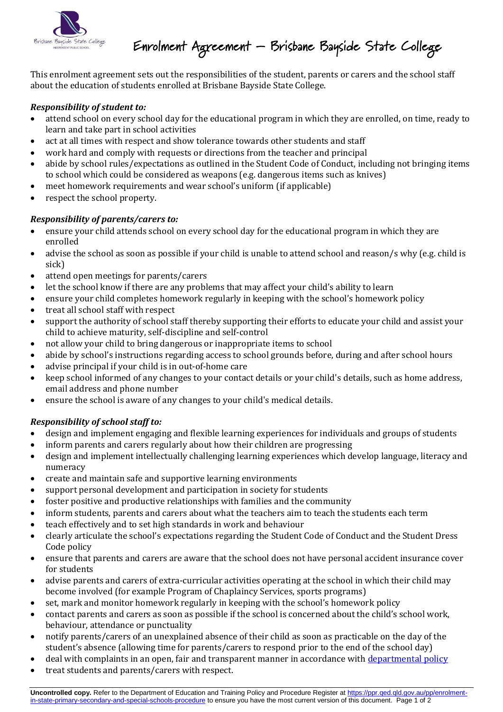

## Enrolment Agreement – Brisbane Bayside State College

This enrolment agreement sets out the responsibilities of the student, parents or carers and the school staff about the education of students enrolled at Brisbane Bayside State College.

#### *Responsibility of student to:*

- attend school on every school day for the educational program in which they are enrolled, on time, ready to learn and take part in school activities
- act at all times with respect and show tolerance towards other students and staff
- work hard and comply with requests or directions from the teacher and principal
- abide by school rules/expectations as outlined in the Student Code of Conduct, including not bringing items to school which could be considered as weapons (e.g. dangerous items such as knives)
- meet homework requirements and wear school's uniform (if applicable)
- respect the school property.

#### *Responsibility of parents/carers to:*

- ensure your child attends school on every school day for the educational program in which they are enrolled
- advise the school as soon as possible if your child is unable to attend school and reason/s why (e.g. child is sick)
- attend open meetings for parents/carers
- let the school know if there are any problems that may affect your child's ability to learn
- ensure your child completes homework regularly in keeping with the school's homework policy
- treat all school staff with respect
- support the authority of school staff thereby supporting their efforts to educate your child and assist your child to achieve maturity, self-discipline and self-control
- not allow your child to bring dangerous or inappropriate items to school
- abide by school's instructions regarding access to school grounds before, during and after school hours
- advise principal if your child is in out-of-home care
- keep school informed of any changes to your contact details or your child's details, such as home address, email address and phone number
- ensure the school is aware of any changes to your child's medical details.

### *Responsibility of school staff to:*

- design and implement engaging and flexible learning experiences for individuals and groups of students
- inform parents and carers regularly about how their children are progressing
- design and implement intellectually challenging learning experiences which develop language, literacy and numeracy
- create and maintain safe and supportive learning environments
- support personal development and participation in society for students
- foster positive and productive relationships with families and the community
- inform students, parents and carers about what the teachers aim to teach the students each term
- teach effectively and to set high standards in work and behaviour
- clearly articulate the school's expectations regarding the Student Code of Conduct and the Student Dress Code policy
- ensure that parents and carers are aware that the school does not have personal accident insurance cover for students
- advise parents and carers of extra-curricular activities operating at the school in which their child may become involved (for example Program of Chaplaincy Services, sports programs)
- set, mark and monitor homework regularly in keeping with the school's homework policy
- contact parents and carers as soon as possible if the school is concerned about the child's school work, behaviour, attendance or punctuality
- notify parents/carers of an unexplained absence of their child as soon as practicable on the day of the student's absence (allowing time for parents/carers to respond prior to the end of the school day)
- deal with complaints in an open, fair and transparent manner in accordance with [departmental policy](https://ppr.qed.qld.gov.au/pp/customer-complaints-management-procedure)
- treat students and parents/carers with respect.